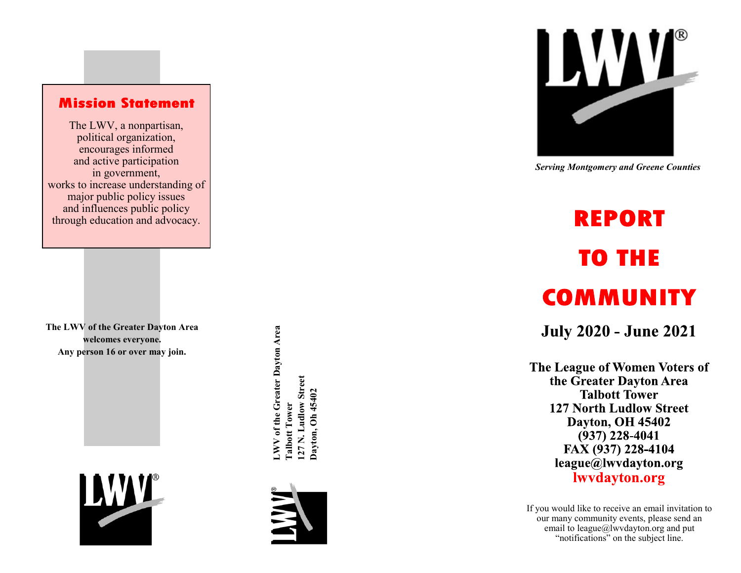### **Mission Statement**

The LWV, a nonpartisan, political organization, encourages informed and active participation in government, works to increase understanding of major public policy issues and influences public policy through education and advocacy.

**The LWV of the Greater Dayton Area welcomes everyone. Any person 16 or over may join.**



NV of the Greater Dayton Area **LWV of the Greater Dayton Area** 27 N. Ludlow Street **127 N. Ludlow Street** Dayton, Oh 45402 **Dayton, Oh 45402 Talbott Tower Talbott Tower** 





 *Serving Montgomery and Greene Counties*

# **REPORT TO THE COMMUNITY**

**July 2020 - June 2021** 

The League of Women Voters of the Greater Dayton Area **Talbott Tower 127 North Ludlow Street Dayton, OH 45402**  $(937)$  228-4041 FAX (937) 228-4104 league@lwvdayton.org lwydayton.org

If you would like to receive an email invitation to our many community events, please send an email to league@lwvdayton.org and put "notifications" on the subject line.